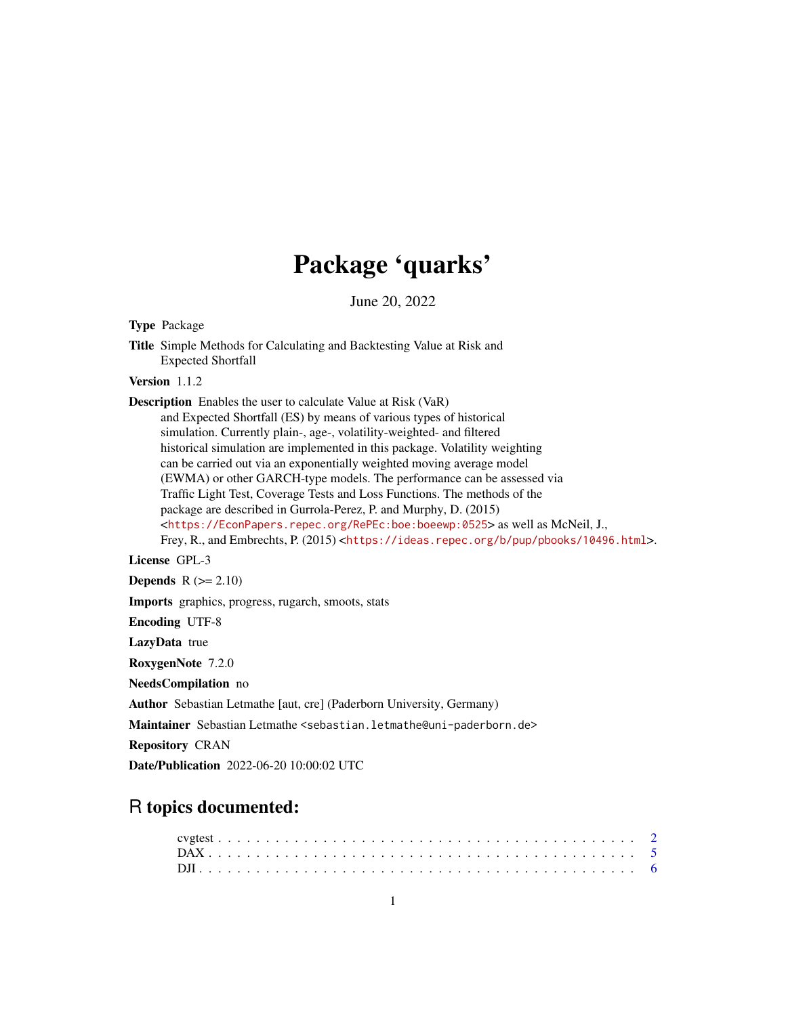## Package 'quarks'

June 20, 2022

Type Package

Title Simple Methods for Calculating and Backtesting Value at Risk and Expected Shortfall

Version 1.1.2

Description Enables the user to calculate Value at Risk (VaR)

and Expected Shortfall (ES) by means of various types of historical simulation. Currently plain-, age-, volatility-weighted- and filtered historical simulation are implemented in this package. Volatility weighting can be carried out via an exponentially weighted moving average model (EWMA) or other GARCH-type models. The performance can be assessed via Traffic Light Test, Coverage Tests and Loss Functions. The methods of the package are described in Gurrola-Perez, P. and Murphy, D. (2015) <<https://EconPapers.repec.org/RePEc:boe:boeewp:0525>> as well as McNeil, J., Frey, R., and Embrechts, P. (2015) <<https://ideas.repec.org/b/pup/pbooks/10496.html>>.

License GPL-3

Depends  $R (= 2.10)$ 

Imports graphics, progress, rugarch, smoots, stats

Encoding UTF-8

LazyData true

RoxygenNote 7.2.0

NeedsCompilation no

Author Sebastian Letmathe [aut, cre] (Paderborn University, Germany)

Maintainer Sebastian Letmathe <sebastian.letmathe@uni-paderborn.de>

Repository CRAN

Date/Publication 2022-06-20 10:00:02 UTC

## R topics documented: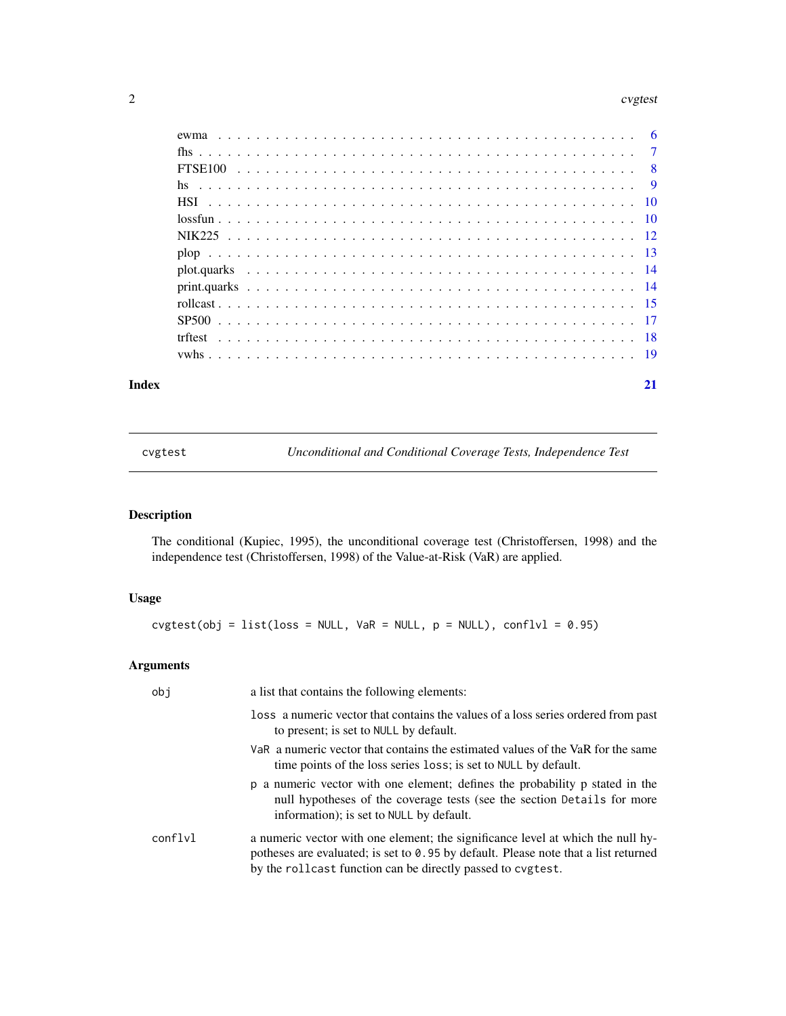#### <span id="page-1-0"></span>2 cvgtest and the contract of the contract of the contract of the contract of the contract of the contract of the contract of the contract of the contract of the contract of the contract of the contract of the contract of

| Index | 21 |
|-------|----|
|       |    |
|       |    |
|       |    |
|       |    |
|       |    |
|       |    |
|       |    |
|       |    |
|       |    |
|       |    |
|       |    |
|       |    |
|       |    |
|       |    |

cvgtest *Unconditional and Conditional Coverage Tests, Independence Test*

### Description

The conditional (Kupiec, 1995), the unconditional coverage test (Christoffersen, 1998) and the independence test (Christoffersen, 1998) of the Value-at-Risk (VaR) are applied.

#### Usage

 $cytest(obj = list_loss = NULL, VaR = NULL, p = NULL), conflvl = 0.95)$ 

#### Arguments

| obj     | a list that contains the following elements:                                                                                                                                                                                            |
|---------|-----------------------------------------------------------------------------------------------------------------------------------------------------------------------------------------------------------------------------------------|
|         | loss a numeric vector that contains the values of a loss series ordered from past<br>to present; is set to NULL by default.                                                                                                             |
|         | VaR a numeric vector that contains the estimated values of the VaR for the same<br>time points of the loss series loss; is set to NULL by default.                                                                                      |
|         | p a numeric vector with one element; defines the probability p stated in the<br>null hypotheses of the coverage tests (see the section Details for more<br>information); is set to NULL by default.                                     |
| conflyl | a numeric vector with one element; the significance level at which the null hy-<br>potheses are evaluated; is set to $0.95$ by default. Please note that a list returned<br>by the rollcast function can be directly passed to cvgtest. |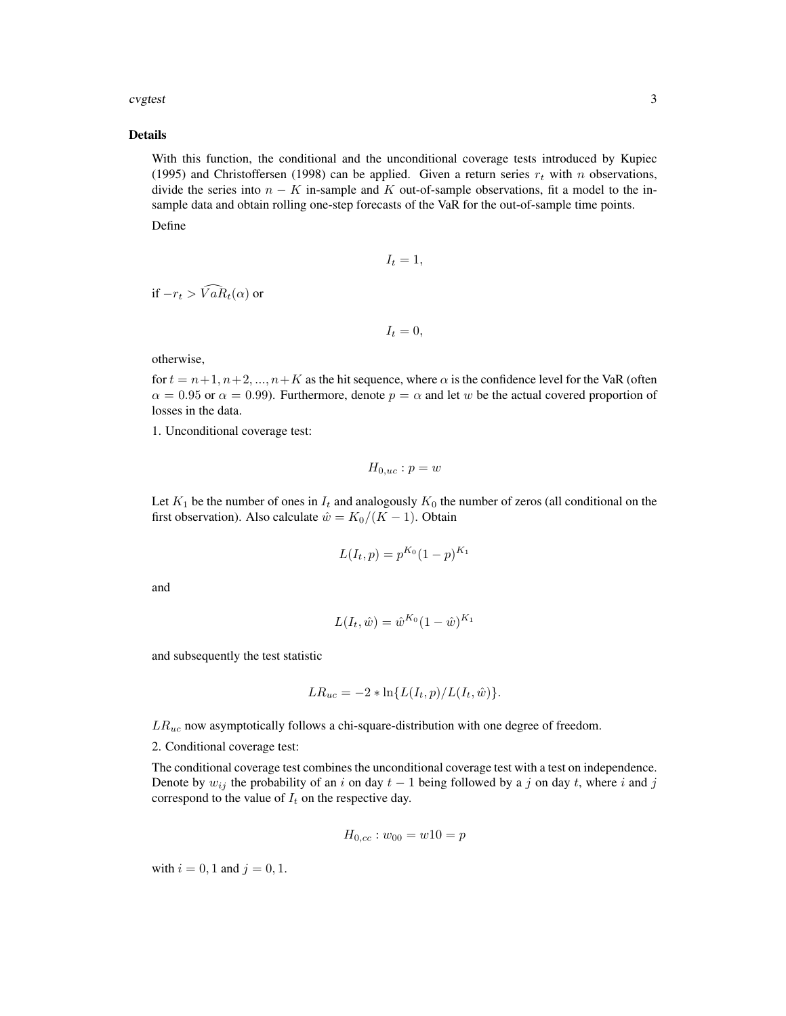#### cvgtest 3

#### Details

With this function, the conditional and the unconditional coverage tests introduced by Kupiec (1995) and Christoffersen (1998) can be applied. Given a return series  $r_t$  with n observations, divide the series into  $n - K$  in-sample and K out-of-sample observations, fit a model to the insample data and obtain rolling one-step forecasts of the VaR for the out-of-sample time points.

Define

$$
I_t=1,
$$

if  $-r_t > \widehat{VaR}_t(\alpha)$  or

$$
I_t=0,
$$

otherwise,

for  $t = n+1, n+2, ..., n+K$  as the hit sequence, where  $\alpha$  is the confidence level for the VaR (often  $\alpha = 0.95$  or  $\alpha = 0.99$ ). Furthermore, denote  $p = \alpha$  and let w be the actual covered proportion of losses in the data.

1. Unconditional coverage test:

$$
H_{0,uc}: p = w
$$

Let  $K_1$  be the number of ones in  $I_t$  and analogously  $K_0$  the number of zeros (all conditional on the first observation). Also calculate  $\hat{w} = K_0/(K - 1)$ . Obtain

$$
L(I_t, p) = p^{K_0} (1 - p)^{K_1}
$$

and

$$
L(I_t, \hat{w}) = \hat{w}^{K_0} (1 - \hat{w})^{K_1}
$$

and subsequently the test statistic

$$
LR_{uc} = -2 * \ln\{L(I_t, p)/L(I_t, \hat{w})\}.
$$

 $LR_{uc}$  now asymptotically follows a chi-square-distribution with one degree of freedom.

2. Conditional coverage test:

The conditional coverage test combines the unconditional coverage test with a test on independence. Denote by  $w_{ij}$  the probability of an i on day  $t - 1$  being followed by a j on day t, where i and j correspond to the value of  $I_t$  on the respective day.

$$
H_{0,cc}: w_{00} = w10 = p
$$

with  $i = 0, 1$  and  $j = 0, 1$ .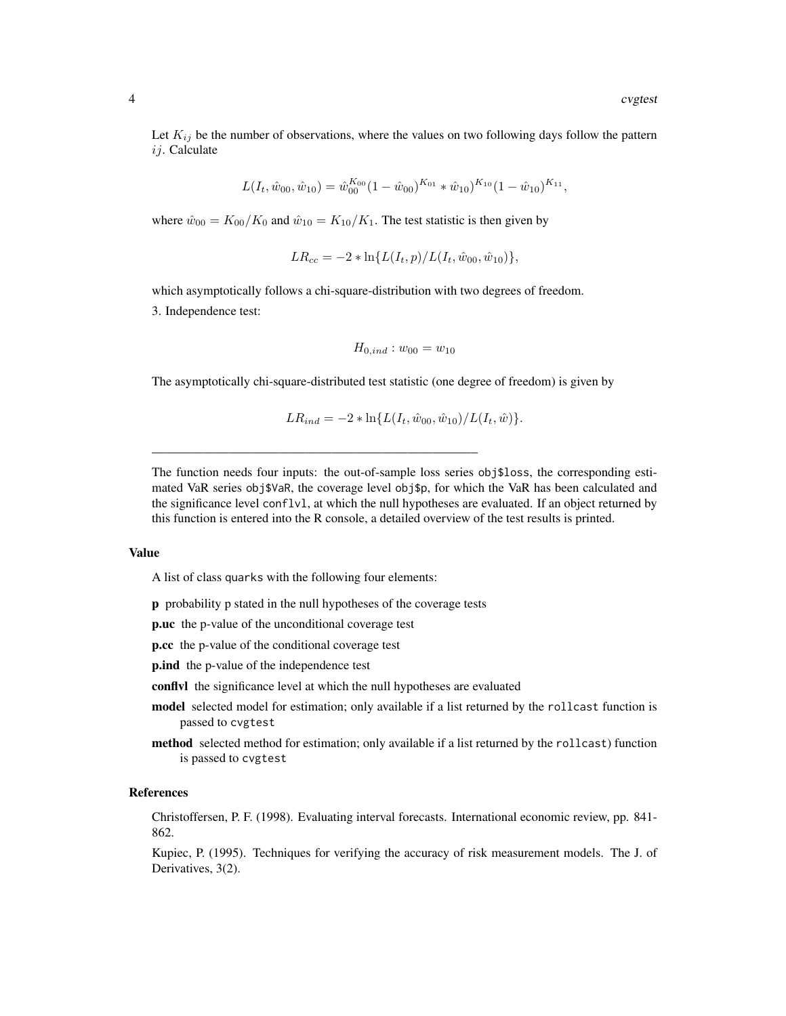Let  $K_{ij}$  be the number of observations, where the values on two following days follow the pattern  $ii$ . Calculate

$$
L(I_t, \hat{w}_{00}, \hat{w}_{10}) = \hat{w}_{00}^{K_{00}} (1 - \hat{w}_{00})^{K_{01}} * \hat{w}_{10})^{K_{10}} (1 - \hat{w}_{10})^{K_{11}},
$$

where  $\hat{w}_{00} = K_{00}/K_0$  and  $\hat{w}_{10} = K_{10}/K_1$ . The test statistic is then given by

$$
LR_{cc} = -2 * \ln\{L(I_t, p)/L(I_t, \hat{w}_{00}, \hat{w}_{10})\},
$$

which asymptotically follows a chi-square-distribution with two degrees of freedom.

3. Independence test:

$$
H_{0,ind}: w_{00} = w_{10}
$$

The asymptotically chi-square-distributed test statistic (one degree of freedom) is given by

$$
LR_{ind} = -2 * \ln\{L(I_t, \hat{w}_{00}, \hat{w}_{10})/L(I_t, \hat{w})\}.
$$

The function needs four inputs: the out-of-sample loss series obj\$loss, the corresponding estimated VaR series obj\$VaR, the coverage level obj\$p, for which the VaR has been calculated and the significance level conflvl, at which the null hypotheses are evaluated. If an object returned by this function is entered into the R console, a detailed overview of the test results is printed.

#### Value

A list of class quarks with the following four elements:

p probability p stated in the null hypotheses of the coverage tests

—————————————————————————–

p.uc the p-value of the unconditional coverage test

p.cc the p-value of the conditional coverage test

**p.ind** the p-value of the independence test

conflvl the significance level at which the null hypotheses are evaluated

- model selected model for estimation; only available if a list returned by the rollcast function is passed to cvgtest
- method selected method for estimation; only available if a list returned by the rollcast) function is passed to cvgtest

#### References

Christoffersen, P. F. (1998). Evaluating interval forecasts. International economic review, pp. 841- 862.

Kupiec, P. (1995). Techniques for verifying the accuracy of risk measurement models. The J. of Derivatives, 3(2).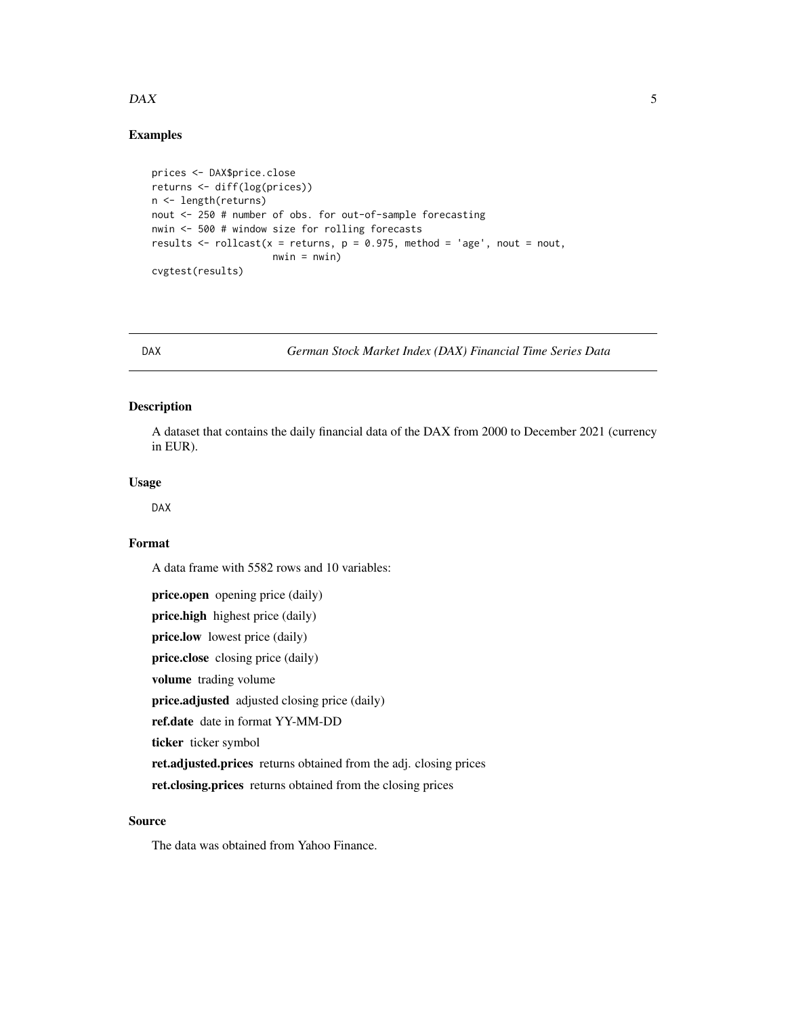#### <span id="page-4-0"></span> $DAX$  5

#### Examples

```
prices <- DAX$price.close
returns <- diff(log(prices))
n <- length(returns)
nout <- 250 # number of obs. for out-of-sample forecasting
nwin <- 500 # window size for rolling forecasts
results \le- rollcast(x = returns, p = 0.975, method = 'age', nout = nout,
                     nwin = nwin)cvgtest(results)
```
DAX *German Stock Market Index (DAX) Financial Time Series Data*

#### Description

A dataset that contains the daily financial data of the DAX from 2000 to December 2021 (currency in EUR).

#### Usage

DAX

#### Format

A data frame with 5582 rows and 10 variables:

price.open opening price (daily) price.high highest price (daily) price.low lowest price (daily) price.close closing price (daily) volume trading volume price.adjusted adjusted closing price (daily) ref.date date in format YY-MM-DD ticker ticker symbol ret.adjusted.prices returns obtained from the adj. closing prices ret.closing.prices returns obtained from the closing prices

#### Source

The data was obtained from Yahoo Finance.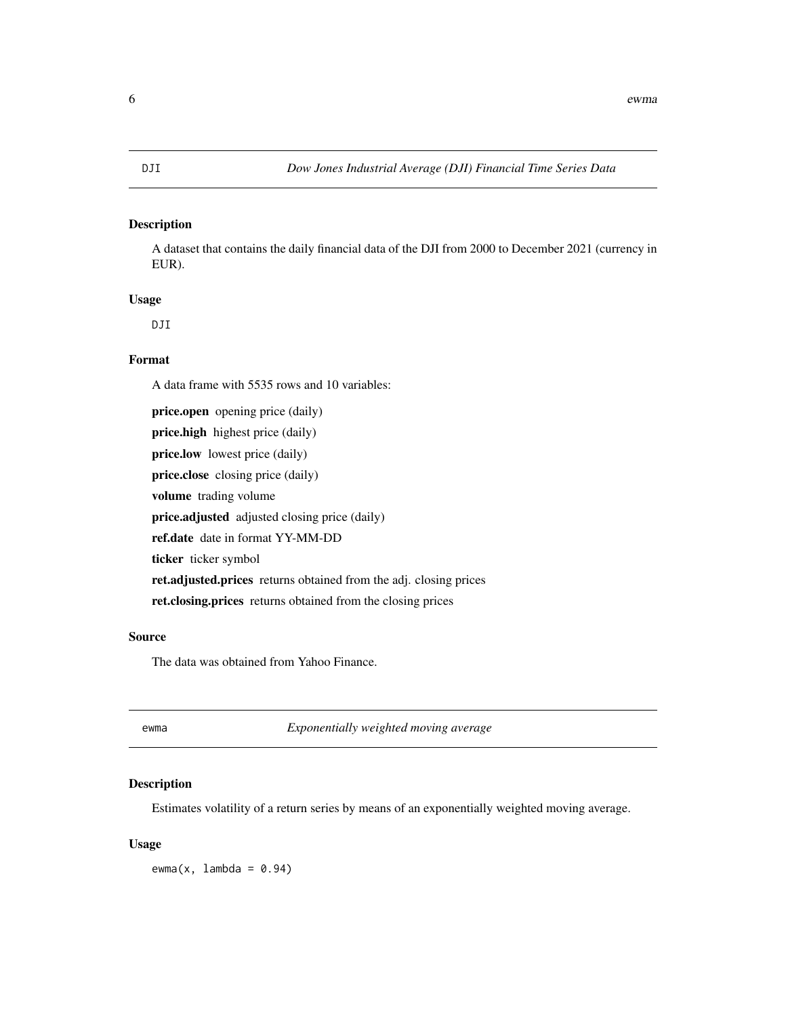<span id="page-5-0"></span>A dataset that contains the daily financial data of the DJI from 2000 to December 2021 (currency in EUR).

#### Usage

DJI

#### Format

A data frame with 5535 rows and 10 variables:

price.open opening price (daily) price.high highest price (daily) price.low lowest price (daily) price.close closing price (daily) volume trading volume price.adjusted adjusted closing price (daily) ref.date date in format YY-MM-DD ticker ticker symbol ret.adjusted.prices returns obtained from the adj. closing prices ret.closing.prices returns obtained from the closing prices

#### Source

The data was obtained from Yahoo Finance.

ewma *Exponentially weighted moving average*

#### Description

Estimates volatility of a return series by means of an exponentially weighted moving average.

#### Usage

 $ewma(x,$  lambda = 0.94)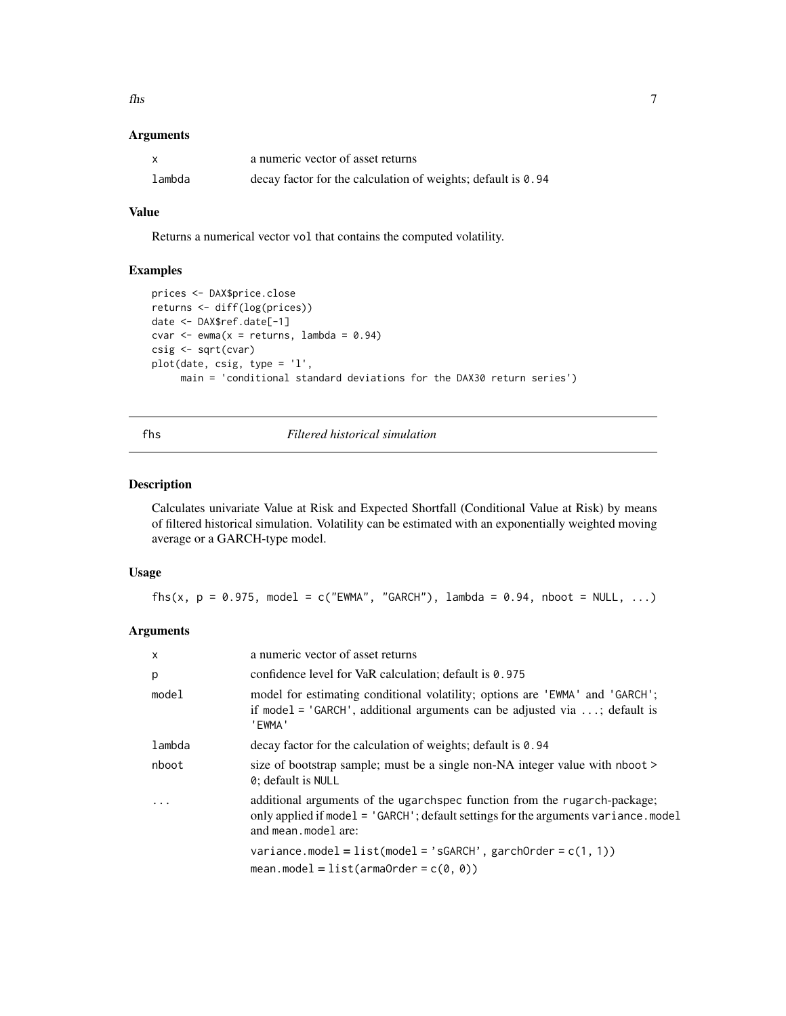<span id="page-6-0"></span> $\frac{1}{7}$ 

#### Arguments

| X      | a numeric vector of asset returns                            |
|--------|--------------------------------------------------------------|
| lambda | decay factor for the calculation of weights; default is 0.94 |

#### Value

Returns a numerical vector vol that contains the computed volatility.

#### Examples

```
prices <- DAX$price.close
returns <- diff(log(prices))
date <- DAX$ref.date[-1]
cvar \leq ewma(x = returns, lambda = 0.94)
csig <- sqrt(cvar)
plot(date, csig, type = 'l',
     main = 'conditional standard deviations for the DAX30 return series')
```
#### fhs *Filtered historical simulation*

#### Description

Calculates univariate Value at Risk and Expected Shortfall (Conditional Value at Risk) by means of filtered historical simulation. Volatility can be estimated with an exponentially weighted moving average or a GARCH-type model.

#### Usage

fhs(x,  $p = 0.975$ , model = c("EWMA", "GARCH"), lambda = 0.94, nboot = NULL, ...)

#### Arguments

| $\mathsf{x}$ | a numeric vector of asset returns                                                                                                                                                       |
|--------------|-----------------------------------------------------------------------------------------------------------------------------------------------------------------------------------------|
| p            | confidence level for VaR calculation; default is 0.975                                                                                                                                  |
| model        | model for estimating conditional volatility; options are 'EWMA' and 'GARCH';<br>if model = $'GARCH'$ , additional arguments can be adjusted via ; default is<br>'EWMA'                  |
| lambda       | decay factor for the calculation of weights; default is 0.94                                                                                                                            |
| nboot        | size of bootstrap sample; must be a single non-NA integer value with nboot ><br>0; default is NULL                                                                                      |
| $\cdot$      | additional arguments of the ugarchance function from the rugarch-package;<br>only applied if model = 'GARCH'; default settings for the arguments variance.model<br>and mean. model are: |
|              | variance.model = $list (model = 'sGARCH', garchOrder = c(1, 1))$<br>mean.model = $list(armaOrder = c(0, 0))$                                                                            |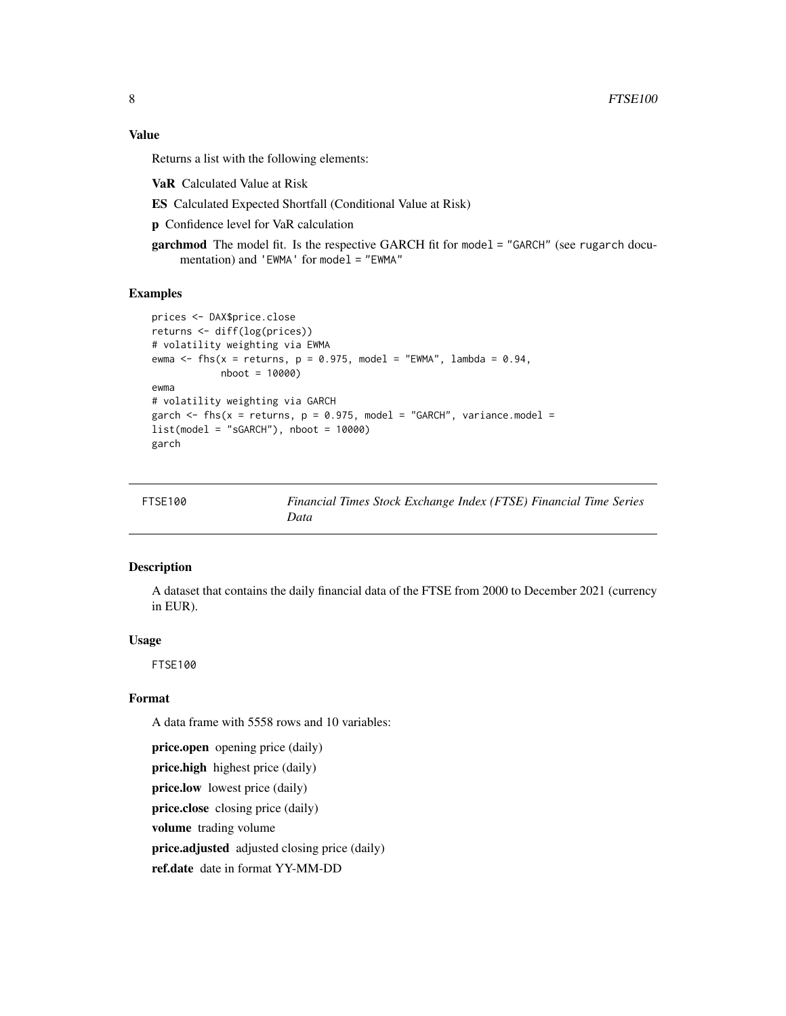#### <span id="page-7-0"></span>Value

Returns a list with the following elements:

VaR Calculated Value at Risk

ES Calculated Expected Shortfall (Conditional Value at Risk)

p Confidence level for VaR calculation

garchmod The model fit. Is the respective GARCH fit for model = "GARCH" (see rugarch documentation) and 'EWMA' for model = "EWMA"

#### Examples

```
prices <- DAX$price.close
returns <- diff(log(prices))
# volatility weighting via EWMA
ewma <- fhs(x = returns, p = 0.975, model = "EWMA", lambda = 0.94,
            nboot = 10000)
ewma
# volatility weighting via GARCH
garch \leq fhs(x = returns, p = 0.975, model = "GARCH", variance.model =
list(model = "sGARCH"), nboot = 10000)
garch
```

| FTSE100 | Financial Times Stock Exchange Index (FTSE) Financial Time Series |
|---------|-------------------------------------------------------------------|
|         | Data                                                              |

#### Description

A dataset that contains the daily financial data of the FTSE from 2000 to December 2021 (currency in EUR).

#### Usage

FTSE100

#### Format

A data frame with 5558 rows and 10 variables:

price.open opening price (daily) price.high highest price (daily) price.low lowest price (daily) price.close closing price (daily) volume trading volume price.adjusted adjusted closing price (daily) ref.date date in format YY-MM-DD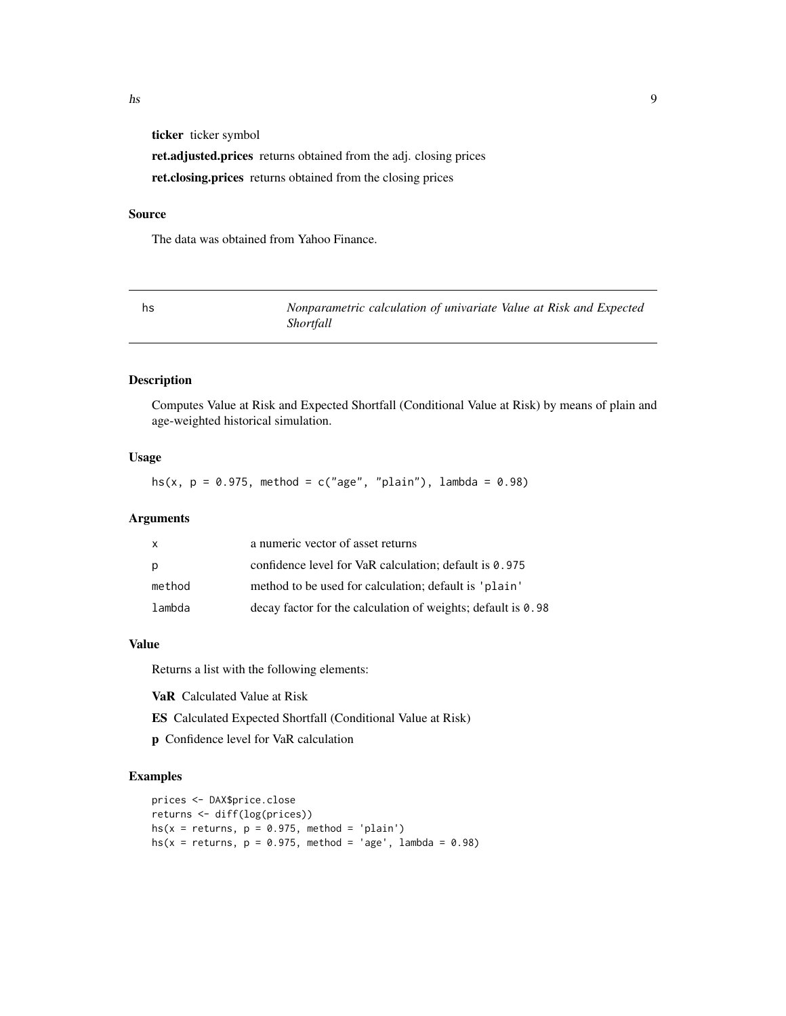<span id="page-8-0"></span>ticker ticker symbol

ret.adjusted.prices returns obtained from the adj. closing prices ret.closing.prices returns obtained from the closing prices

#### Source

The data was obtained from Yahoo Finance.

hs *Nonparametric calculation of univariate Value at Risk and Expected Shortfall*

#### Description

Computes Value at Risk and Expected Shortfall (Conditional Value at Risk) by means of plain and age-weighted historical simulation.

#### Usage

hs(x,  $p = 0.975$ , method = c("age", "plain"), lambda = 0.98)

#### Arguments

| $\mathsf{x}$ | a numeric vector of asset returns                            |
|--------------|--------------------------------------------------------------|
| p            | confidence level for VaR calculation; default is 0.975       |
| method       | method to be used for calculation; default is 'plain'        |
| lambda       | decay factor for the calculation of weights; default is 0.98 |

#### Value

Returns a list with the following elements:

VaR Calculated Value at Risk

ES Calculated Expected Shortfall (Conditional Value at Risk)

p Confidence level for VaR calculation

```
prices <- DAX$price.close
returns <- diff(log(prices))
hs(x = returns, p = 0.975, method = 'plain')
hs(x = returns, p = 0.975, method = 'age', lambda = 0.98)
```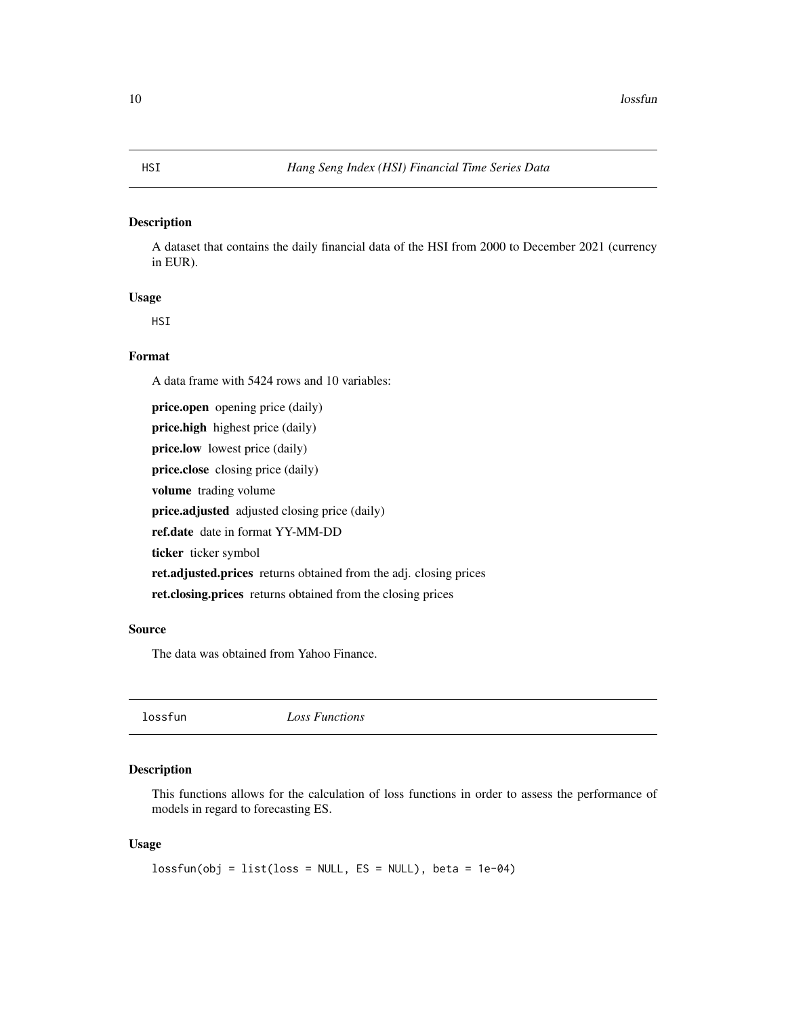<span id="page-9-0"></span>A dataset that contains the daily financial data of the HSI from 2000 to December 2021 (currency in EUR).

#### Usage

**HSI** 

#### Format

A data frame with 5424 rows and 10 variables:

price.open opening price (daily) price.high highest price (daily) price.low lowest price (daily) price.close closing price (daily) volume trading volume price.adjusted adjusted closing price (daily) ref.date date in format YY-MM-DD ticker ticker symbol ret.adjusted.prices returns obtained from the adj. closing prices ret.closing.prices returns obtained from the closing prices

#### Source

The data was obtained from Yahoo Finance.

lossfun *Loss Functions*

#### Description

This functions allows for the calculation of loss functions in order to assess the performance of models in regard to forecasting ES.

#### Usage

```
lossfun(obj = list(loss = NULL, ES = NULL), beta = 1e-04)
```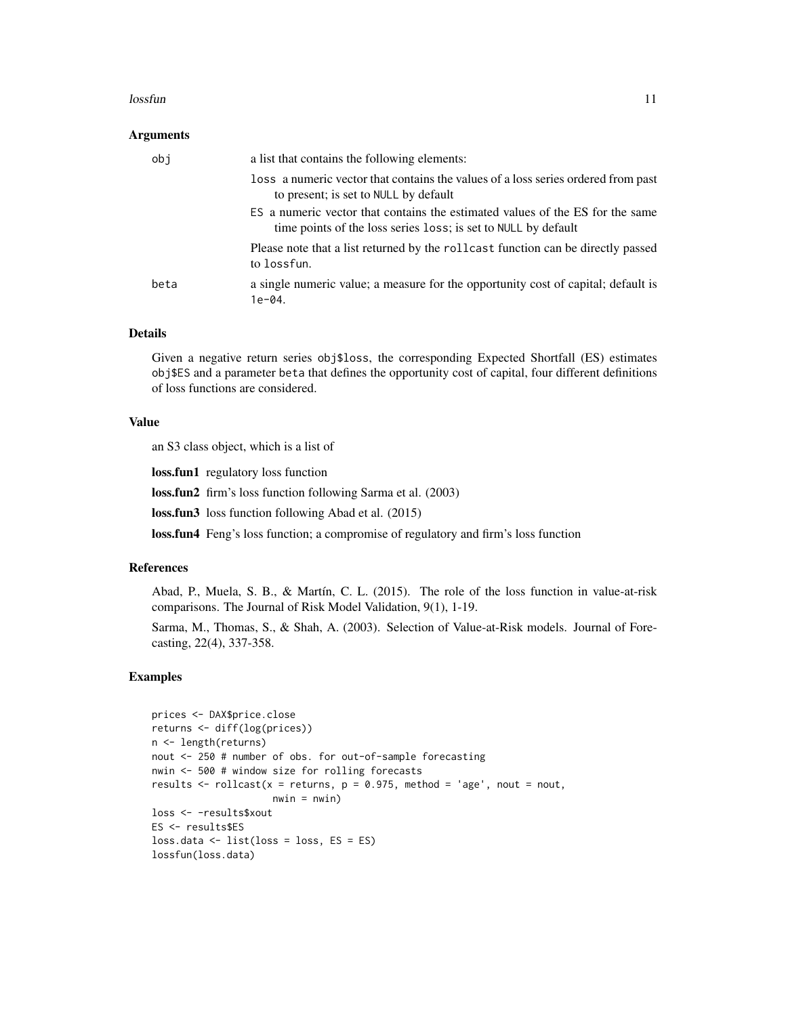#### lossfun **11**

#### Arguments

| obi  | a list that contains the following elements:                                                                                                    |
|------|-------------------------------------------------------------------------------------------------------------------------------------------------|
|      | loss a numeric vector that contains the values of a loss series ordered from past<br>to present; is set to NULL by default                      |
|      | ES a numeric vector that contains the estimated values of the ES for the same<br>time points of the loss series loss; is set to NULL by default |
|      | Please note that a list returned by the rollcast function can be directly passed<br>to lossfun.                                                 |
| beta | a single numeric value; a measure for the opportunity cost of capital; default is<br>$1e-04.$                                                   |

#### Details

Given a negative return series obj\$loss, the corresponding Expected Shortfall (ES) estimates obj\$ES and a parameter beta that defines the opportunity cost of capital, four different definitions of loss functions are considered.

#### Value

an S3 class object, which is a list of

loss.fun1 regulatory loss function

loss.fun2 firm's loss function following Sarma et al. (2003)

loss.fun3 loss function following Abad et al. (2015)

loss.fun4 Feng's loss function; a compromise of regulatory and firm's loss function

#### References

Abad, P., Muela, S. B., & Martín, C. L. (2015). The role of the loss function in value-at-risk comparisons. The Journal of Risk Model Validation, 9(1), 1-19.

Sarma, M., Thomas, S., & Shah, A. (2003). Selection of Value-at-Risk models. Journal of Forecasting, 22(4), 337-358.

```
prices <- DAX$price.close
returns <- diff(log(prices))
n <- length(returns)
nout <- 250 # number of obs. for out-of-sample forecasting
nwin <- 500 # window size for rolling forecasts
results \le- rollcast(x = returns, p = 0.975, method = 'age', nout = nout,
                     nwin = nwin)loss <- -results$xout
ES <- results$ES
loss.data <- list(loss = loss, ES = ES)
lossfun(loss.data)
```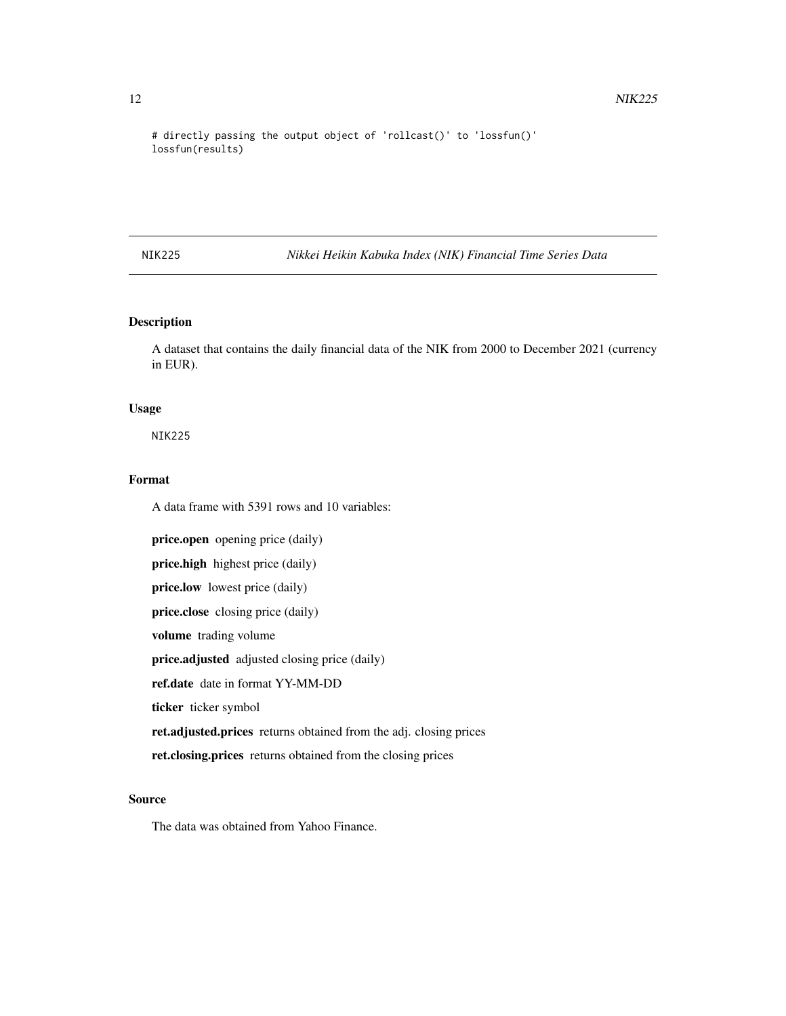# directly passing the output object of 'rollcast()' to 'lossfun()' lossfun(results)

NIK225 *Nikkei Heikin Kabuka Index (NIK) Financial Time Series Data*

#### Description

A dataset that contains the daily financial data of the NIK from 2000 to December 2021 (currency in EUR).

#### Usage

NIK225

### Format

A data frame with 5391 rows and 10 variables:

price.open opening price (daily) price.high highest price (daily) price.low lowest price (daily) price.close closing price (daily) volume trading volume price.adjusted adjusted closing price (daily) ref.date date in format YY-MM-DD ticker ticker symbol ret.adjusted.prices returns obtained from the adj. closing prices ret.closing.prices returns obtained from the closing prices

#### Source

The data was obtained from Yahoo Finance.

<span id="page-11-0"></span>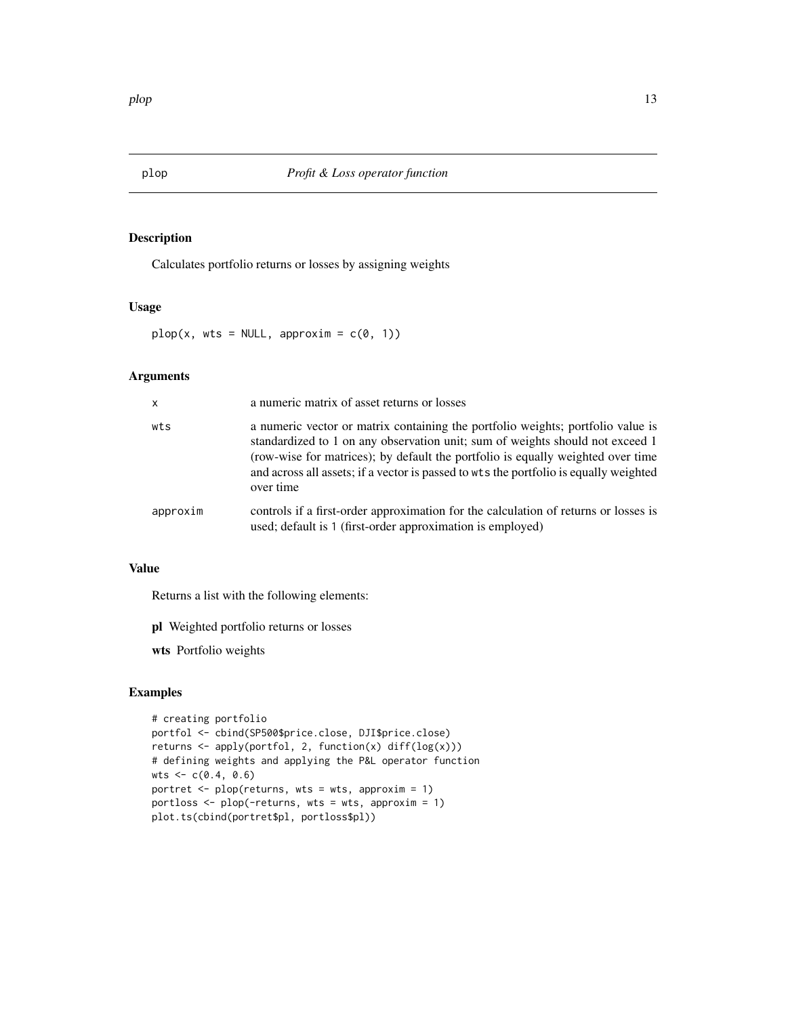<span id="page-12-0"></span>

Calculates portfolio returns or losses by assigning weights

#### Usage

 $plop(x, wts = NULL, approxim = c(0, 1))$ 

#### Arguments

| $\mathsf{x}$ | a numeric matrix of asset returns or losses                                                                                                                                                                                                                                                                                                               |
|--------------|-----------------------------------------------------------------------------------------------------------------------------------------------------------------------------------------------------------------------------------------------------------------------------------------------------------------------------------------------------------|
| wts          | a numeric vector or matrix containing the portfolio weights; portfolio value is<br>standardized to 1 on any observation unit; sum of weights should not exceed 1<br>(row-wise for matrices); by default the portfolio is equally weighted over time<br>and across all assets; if a vector is passed to wts the portfolio is equally weighted<br>over time |
| approxim     | controls if a first-order approximation for the calculation of returns or losses is<br>used; default is 1 (first-order approximation is employed)                                                                                                                                                                                                         |

#### Value

Returns a list with the following elements:

- pl Weighted portfolio returns or losses
- wts Portfolio weights

```
# creating portfolio
portfol <- cbind(SP500$price.close, DJI$price.close)
returns <- apply(portfol, 2, function(x) diff(log(x)))
# defining weights and applying the P&L operator function
wts < -c(0.4, 0.6)portret \leq plop(returns, wts = wts, approxim = 1)
portloss \leq plop(-returns, wts = wts, approxim = 1)
plot.ts(cbind(portret$pl, portloss$pl))
```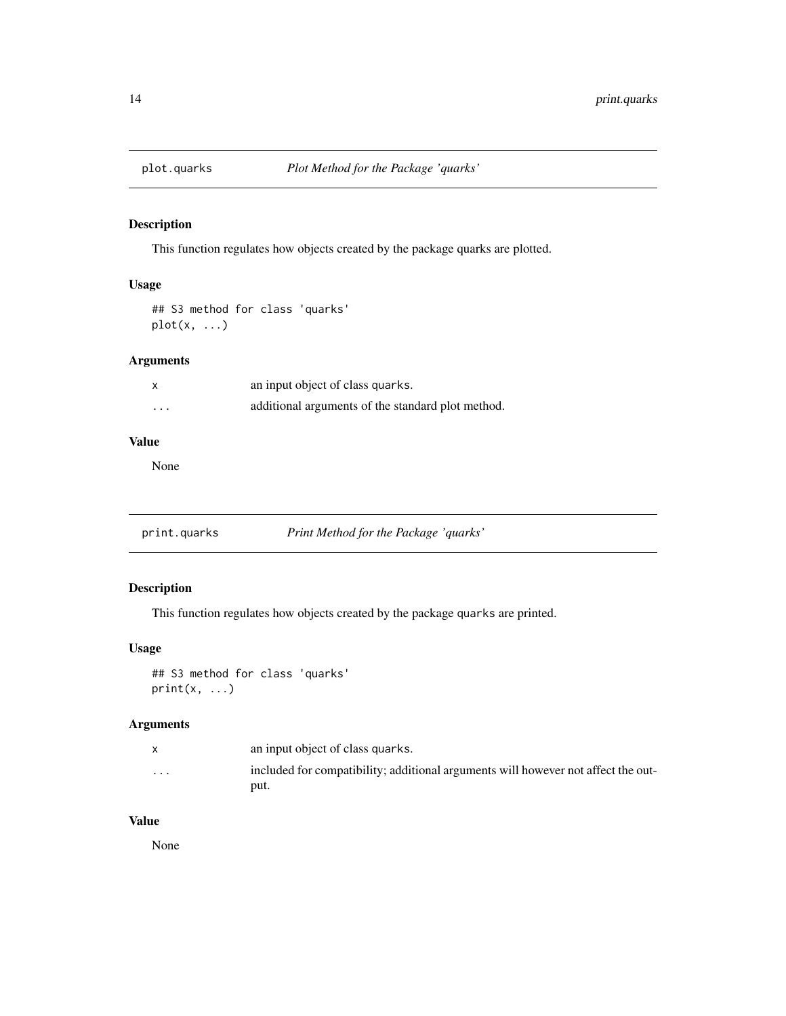<span id="page-13-0"></span>

This function regulates how objects created by the package quarks are plotted.

#### Usage

## S3 method for class 'quarks' plot(x, ...)

#### Arguments

| $\boldsymbol{\mathsf{x}}$ | an input object of class quarks.                  |
|---------------------------|---------------------------------------------------|
| .                         | additional arguments of the standard plot method. |

#### Value

None

print.quarks *Print Method for the Package 'quarks'*

### Description

This function regulates how objects created by the package quarks are printed.

### Usage

## S3 method for class 'quarks'  $print(x, \ldots)$ 

### Arguments

|                         | an input object of class quarks.                                                  |
|-------------------------|-----------------------------------------------------------------------------------|
| $\cdot$ $\cdot$ $\cdot$ | included for compatibility; additional arguments will however not affect the out- |
|                         | put.                                                                              |

### Value

None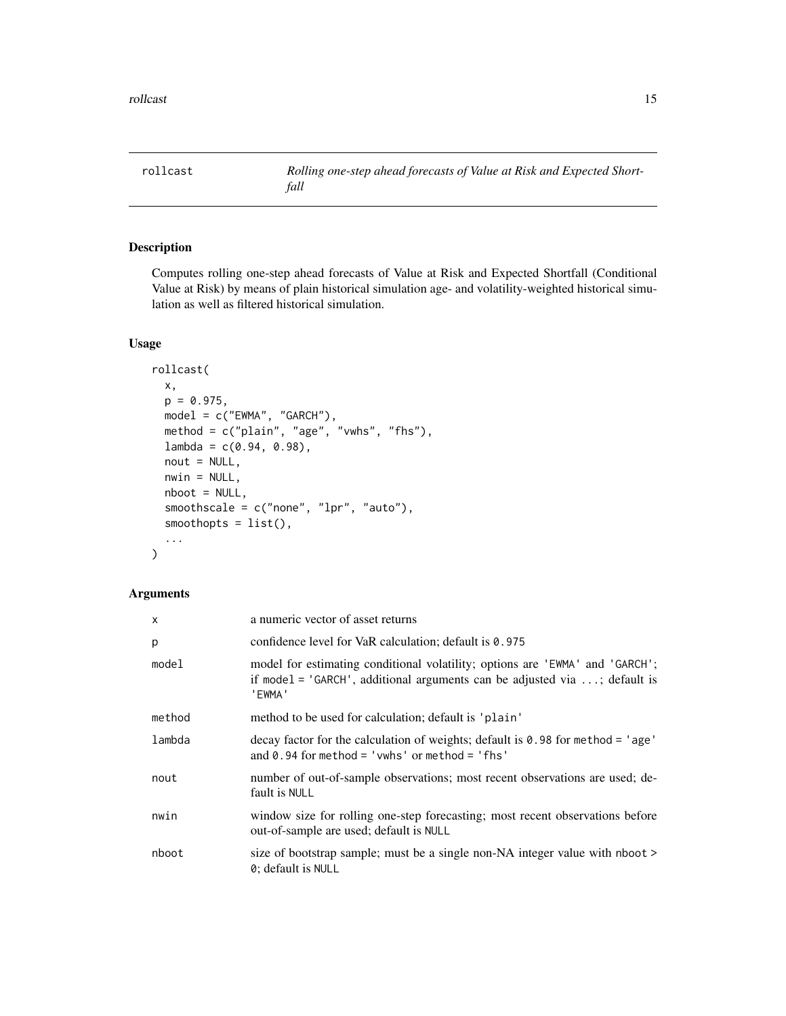<span id="page-14-0"></span>

Computes rolling one-step ahead forecasts of Value at Risk and Expected Shortfall (Conditional Value at Risk) by means of plain historical simulation age- and volatility-weighted historical simulation as well as filtered historical simulation.

#### Usage

```
rollcast(
 x,
 p = 0.975,
 model = c("EWMA", "GARCH"),method = c("plain", "age", "vwhs", "fhs"),
 lambda = c(0.94, 0.98),
 nout = NULL,nwin = NULL,nboot = NULL,
 smoothscale = c("none", "lpr", "auto"),
 smoothopts = list(),
  ...
)
```
#### Arguments

| X      | a numeric vector of asset returns                                                                                                                                      |
|--------|------------------------------------------------------------------------------------------------------------------------------------------------------------------------|
| p      | confidence level for VaR calculation; default is 0.975                                                                                                                 |
| model  | model for estimating conditional volatility; options are 'EWMA' and 'GARCH';<br>if model = $'GARCH'$ , additional arguments can be adjusted via ; default is<br>'EWMA' |
| method | method to be used for calculation; default is 'plain'                                                                                                                  |
| lambda | decay factor for the calculation of weights; default is $0.98$ for method = 'age'<br>and 0.94 for method = 'vwhs' or method = 'fhs'                                    |
| nout   | number of out-of-sample observations; most recent observations are used; de-<br>fault is NULL                                                                          |
| nwin   | window size for rolling one-step forecasting; most recent observations before<br>out-of-sample are used; default is NULL                                               |
| nboot  | size of bootstrap sample; must be a single non-NA integer value with nboot ><br>0; default is NULL                                                                     |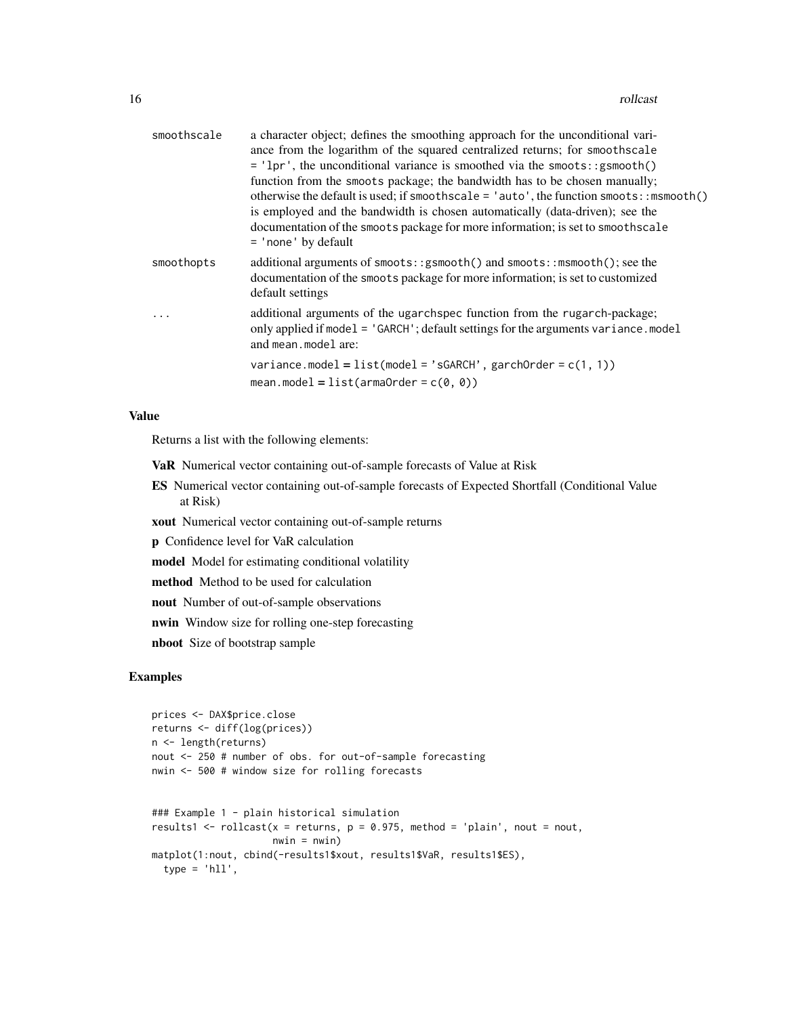| smoothscale | a character object; defines the smoothing approach for the unconditional vari-<br>ance from the logarithm of the squared centralized returns; for smoothscale<br>= 'lpr', the unconditional variance is smoothed via the smoots::gsmooth()<br>function from the smoots package; the bandwidth has to be chosen manually;<br>otherwise the default is used; if smoothscale = $'$ auto', the function smoots::msmooth()<br>is employed and the bandwidth is chosen automatically (data-driven); see the<br>documentation of the smoots package for more information; is set to smoothscale<br>$=$ 'none' by default |
|-------------|-------------------------------------------------------------------------------------------------------------------------------------------------------------------------------------------------------------------------------------------------------------------------------------------------------------------------------------------------------------------------------------------------------------------------------------------------------------------------------------------------------------------------------------------------------------------------------------------------------------------|
| smoothopts  | additional arguments of smoots::gsmooth() and smoots::msmooth(); see the<br>documentation of the smoots package for more information; is set to customized<br>default settings                                                                                                                                                                                                                                                                                                                                                                                                                                    |
|             | additional arguments of the ugarchance function from the rugarch-package;<br>only applied if model = 'GARCH'; default settings for the arguments variance.model<br>and mean. model are:                                                                                                                                                                                                                                                                                                                                                                                                                           |
|             | variance.model = $list (model = 'sGARCH', garchOrder = c(1, 1))$<br>mean.model = $list(armaOrder = c(0, 0))$                                                                                                                                                                                                                                                                                                                                                                                                                                                                                                      |

#### Value

Returns a list with the following elements:

VaR Numerical vector containing out-of-sample forecasts of Value at Risk

ES Numerical vector containing out-of-sample forecasts of Expected Shortfall (Conditional Value at Risk)

xout Numerical vector containing out-of-sample returns

p Confidence level for VaR calculation

model Model for estimating conditional volatility

method Method to be used for calculation

nout Number of out-of-sample observations

nwin Window size for rolling one-step forecasting

nboot Size of bootstrap sample

```
prices <- DAX$price.close
returns <- diff(log(prices))
n <- length(returns)
nout <- 250 # number of obs. for out-of-sample forecasting
nwin <- 500 # window size for rolling forecasts
### Example 1 - plain historical simulation
results1 <- rollcast(x = returns, p = 0.975, method = 'plain',nout = nout,nwin = nwin)matplot(1:nout, cbind(-results1$xout, results1$VaR, results1$ES),
  type = 'h11',
```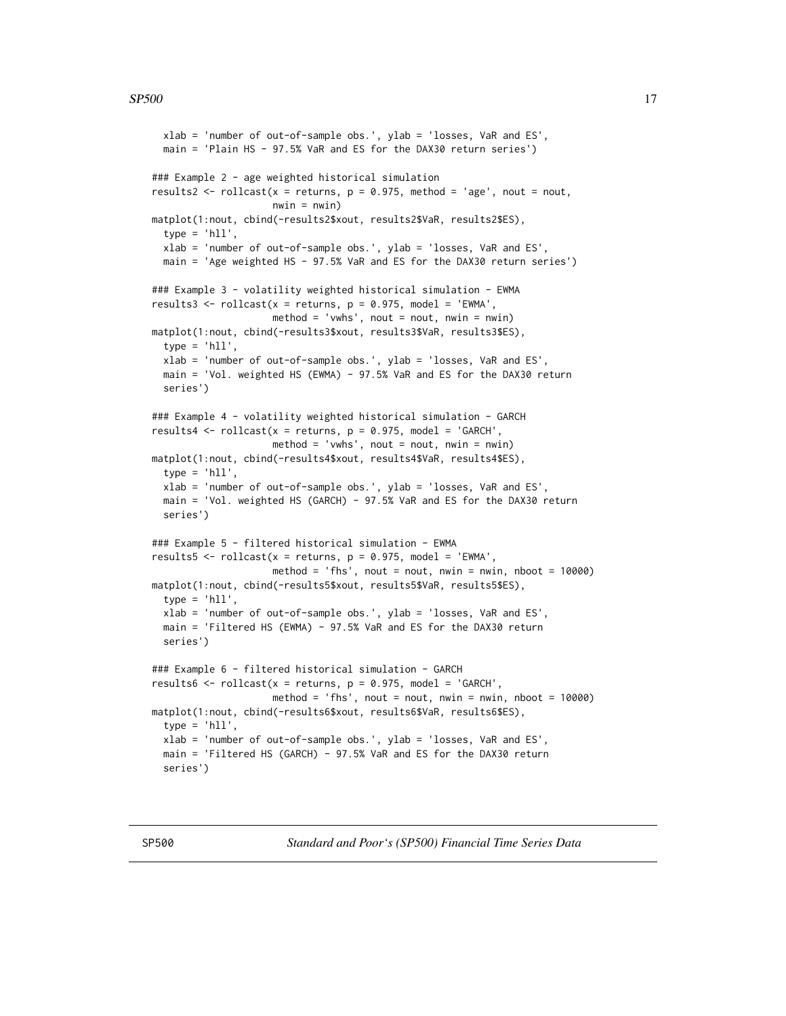```
xlab = 'number of out-of-sample obs.', ylab = 'losses, VaR and ES',
 main = 'Plain HS - 97.5% VaR and ES for the DAX30 return series')
### Example 2 - age weighted historical simulation
results2 <- rollcast(x = returns, p = 0.975, method = 'age', nout = nout,
                    nwin = nwin)matplot(1:nout, cbind(-results2$xout, results2$VaR, results2$ES),
 type = 'h11',xlab = 'number of out-of-sample obs.', ylab = 'losses, VaR and ES',
 main = 'Age weighted HS - 97.5% VaR and ES for the DAX30 return series')
### Example 3 - volatility weighted historical simulation - EWMA
results3 <- rollcast(x = returns, p = 0.975, model = 'EWMA',
                     method = 'vwhs', nout = nout, nwin = nwin)matplot(1:nout, cbind(-results3$xout, results3$VaR, results3$ES),
 type = 'hll',xlab = 'number of out-of-sample obs.', ylab = 'losses, VaR and ES',
 main = 'Vol. weighted HS (EWMA) - 97.5% VaR and ES for the DAX30 return
 series')
### Example 4 - volatility weighted historical simulation - GARCH
results4 <- rollcast(x = returns, p = 0.975, model = 'GARCH',method = 'vwhs', nout = nout, nwin = nwin)
matplot(1:nout, cbind(-results4$xout, results4$VaR, results4$ES),
 type = 'hll',
 xlab = 'number of out-of-sample obs.', ylab = 'losses, VaR and ES',
 main = 'Vol. weighted HS (GARCH) - 97.5% VaR and ES for the DAX30 return
 series')
### Example 5 - filtered historical simulation - EWMA
results5 <- rollcast(x = returns, p = 0.975, model = 'EWMA',method = 'fhs', nout = nout, nwin = nwin, nboot = 10000)
matplot(1:nout, cbind(-results5$xout, results5$VaR, results5$ES),
 type = 'h11',
 xlab = 'number of out-of-sample obs.', ylab = 'losses, VaR and ES',
 main = 'Filtered HS (EWMA) - 97.5% VaR and ES for the DAX30 return
 series')
### Example 6 - filtered historical simulation - GARCH
results6 <- rollcast(x = returns, p = 0.975, model = 'GARCH',method = 'fhs', nout = nout, nwin = nwin, nboot = 10000)
matplot(1:nout, cbind(-results6$xout, results6$VaR, results6$ES),
 type = 'hll',
 xlab = 'number of out-of-sample obs.', ylab = 'losses, VaR and ES',
 main = 'Filtered HS (GARCH) - 97.5% VaR and ES for the DAX30 return
 series')
```
SP500 *Standard and Poor's (SP500) Financial Time Series Data*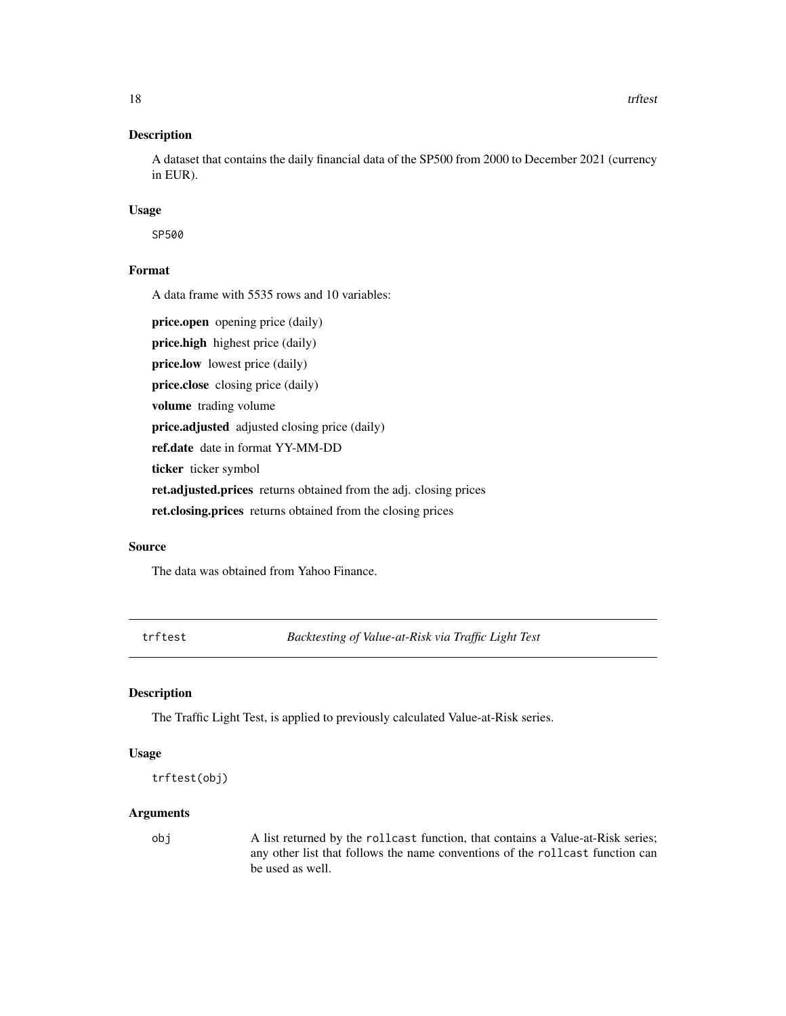<span id="page-17-0"></span>A dataset that contains the daily financial data of the SP500 from 2000 to December 2021 (currency in EUR).

#### Usage

SP500

#### Format

A data frame with 5535 rows and 10 variables:

price.open opening price (daily) price.high highest price (daily) price.low lowest price (daily) price.close closing price (daily) volume trading volume price.adjusted adjusted closing price (daily) ref.date date in format YY-MM-DD ticker ticker symbol ret.adjusted.prices returns obtained from the adj. closing prices ret.closing.prices returns obtained from the closing prices

#### Source

The data was obtained from Yahoo Finance.

trftest *Backtesting of Value-at-Risk via Traffic Light Test*

#### Description

The Traffic Light Test, is applied to previously calculated Value-at-Risk series.

#### Usage

```
trftest(obj)
```
#### Arguments

obj A list returned by the rollcast function, that contains a Value-at-Risk series; any other list that follows the name conventions of the rollcast function can be used as well.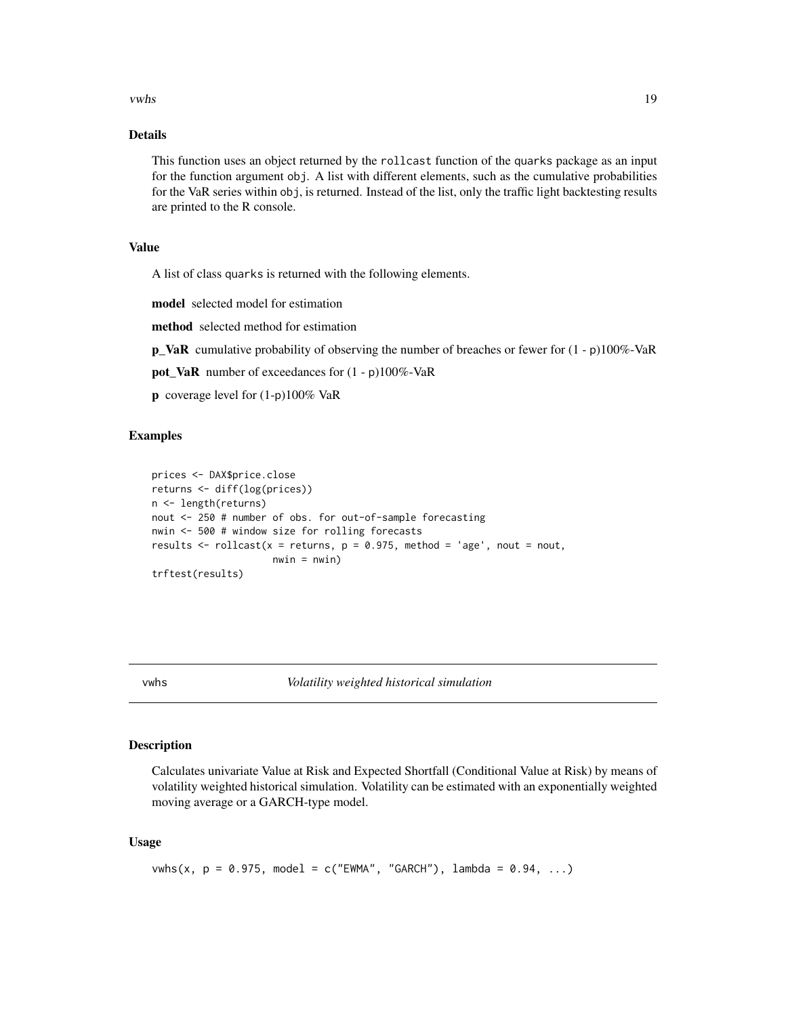#### <span id="page-18-0"></span>vwhs 19

#### Details

This function uses an object returned by the rollcast function of the quarks package as an input for the function argument obj. A list with different elements, such as the cumulative probabilities for the VaR series within obj, is returned. Instead of the list, only the traffic light backtesting results are printed to the R console.

#### Value

A list of class quarks is returned with the following elements.

model selected model for estimation

method selected method for estimation

**p\_VaR** cumulative probability of observing the number of breaches or fewer for  $(1 - p)100\%$ -VaR

pot\_VaR number of exceedances for (1 - p)100%-VaR

p coverage level for (1-p)100% VaR

#### Examples

```
prices <- DAX$price.close
returns <- diff(log(prices))
n <- length(returns)
nout <- 250 # number of obs. for out-of-sample forecasting
nwin <- 500 # window size for rolling forecasts
results \le rollcast(x = returns, p = 0.975, method = 'age', nout = nout,
                     nwin = nwin)trftest(results)
```
vwhs *Volatility weighted historical simulation*

#### Description

Calculates univariate Value at Risk and Expected Shortfall (Conditional Value at Risk) by means of volatility weighted historical simulation. Volatility can be estimated with an exponentially weighted moving average or a GARCH-type model.

#### Usage

```
vwhs(x, p = 0.975, model = c("EWMA", "GARCH"), lambda = 0.94, ...)
```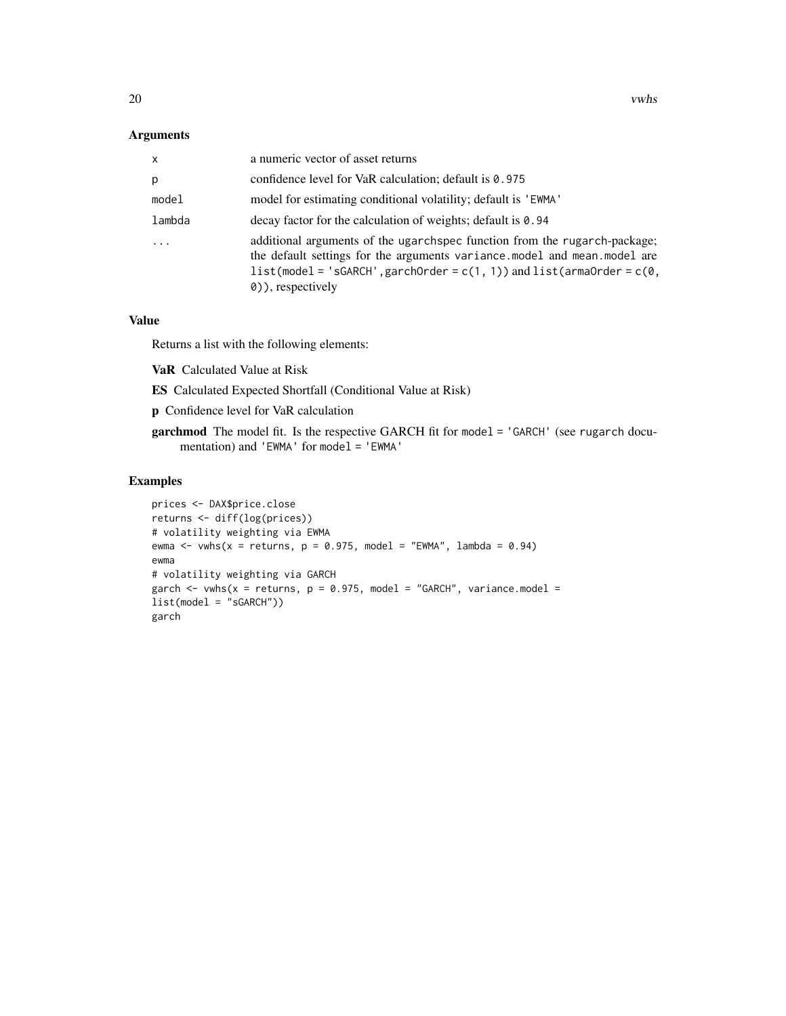#### Arguments

| $\mathsf{x}$ | a numeric vector of asset returns                                                                                                                                                                                                                           |
|--------------|-------------------------------------------------------------------------------------------------------------------------------------------------------------------------------------------------------------------------------------------------------------|
| p            | confidence level for VaR calculation; default is 0.975                                                                                                                                                                                                      |
| model        | model for estimating conditional volatility; default is 'EWMA'                                                                                                                                                                                              |
| lambda       | decay factor for the calculation of weights; default is 0.94                                                                                                                                                                                                |
|              | additional arguments of the ugarchance function from the rugarch-package;<br>the default settings for the arguments variance, model and mean, model are<br>$list(model = 'sGARCH', garchOrder = c(1, 1))$ and $list(amander = c(0, 1))$<br>0), respectively |

#### Value

Returns a list with the following elements:

VaR Calculated Value at Risk

ES Calculated Expected Shortfall (Conditional Value at Risk)

p Confidence level for VaR calculation

garchmod The model fit. Is the respective GARCH fit for model = 'GARCH' (see rugarch documentation) and 'EWMA' for model = 'EWMA'

```
prices <- DAX$price.close
returns <- diff(log(prices))
# volatility weighting via EWMA
ewma <- vwhs(x = returns, p = 0.975, model = "EWMA", lambda = 0.94)
ewma
# volatility weighting via GARCH
garch \leq vwhs(x = returns, p = 0.975, model = "GARCH", variance.model =
list(model = "sGARCH"))
garch
```